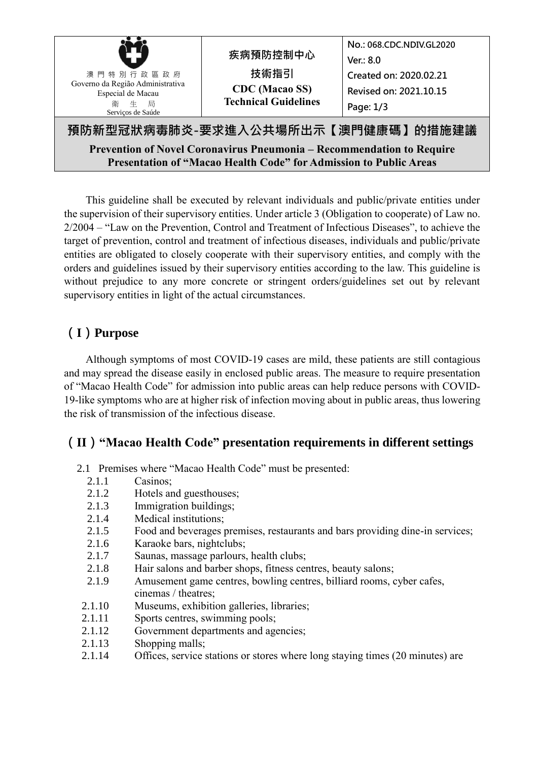| 澳門特別行政區政府<br>Governo da Região Administrativa<br>Especial de Macau<br>生 局<br>衛<br>Serviços de Saúde        | 疾病預防控制中心<br>技術指引<br><b>CDC</b> (Macao SS)<br><b>Technical Guidelines</b> | No.: 068.CDC.NDIV.GL2020<br>Ver.: $8.0$<br>Created on: 2020.02.21<br>Revised on: 2021.10.15<br>Page: $1/3$ |  |  |
|------------------------------------------------------------------------------------------------------------|--------------------------------------------------------------------------|------------------------------------------------------------------------------------------------------------|--|--|
| 預防新型冠狀病毒肺炎-要求進入公共場所出示【澳門健康碼】的措施建議<br>Prevention of Novel Coronavirus Pneumonia – Recommendation to Require |                                                                          |                                                                                                            |  |  |

**Presentation of "Macao Health Code" for Admission to Public Areas**

This guideline shall be executed by relevant individuals and public/private entities under the supervision of their supervisory entities. Under article 3 (Obligation to cooperate) of Law no. 2/2004 – "Law on the Prevention, Control and Treatment of Infectious Diseases", to achieve the target of prevention, control and treatment of infectious diseases, individuals and public/private entities are obligated to closely cooperate with their supervisory entities, and comply with the orders and guidelines issued by their supervisory entities according to the law. This guideline is without prejudice to any more concrete or stringent orders/guidelines set out by relevant supervisory entities in light of the actual circumstances.

## **(I)Purpose**

Although symptoms of most COVID-19 cases are mild, these patients are still contagious and may spread the disease easily in enclosed public areas. The measure to require presentation of "Macao Health Code" for admission into public areas can help reduce persons with COVID-19-like symptoms who are at higher risk of infection moving about in public areas, thus lowering the risk of transmission of the infectious disease.

#### **(II)"Macao Health Code" presentation requirements in different settings**

- 2.1 Premises where "Macao Health Code" must be presented:
	- 2.1.1 Casinos<sup>-</sup>
	- 2.1.2 Hotels and guesthouses;
	- 2.1.3 Immigration buildings;
	- 2.1.4 Medical institutions;
	- 2.1.5 Food and beverages premises, restaurants and bars providing dine-in services;
	- 2.1.6 Karaoke bars, nightclubs;
	- 2.1.7 Saunas, massage parlours, health clubs;
	- 2.1.8 Hair salons and barber shops, fitness centres, beauty salons;
	- 2.1.9 Amusement game centres, bowling centres, billiard rooms, cyber cafes, cinemas / theatres;
- 2.1.10 Museums, exhibition galleries, libraries;
- 2.1.11 Sports centres, swimming pools;
- 2.1.12 Government departments and agencies;
- 2.1.13 Shopping malls;
- 2.1.14 Offices, service stations or stores where long staying times (20 minutes) are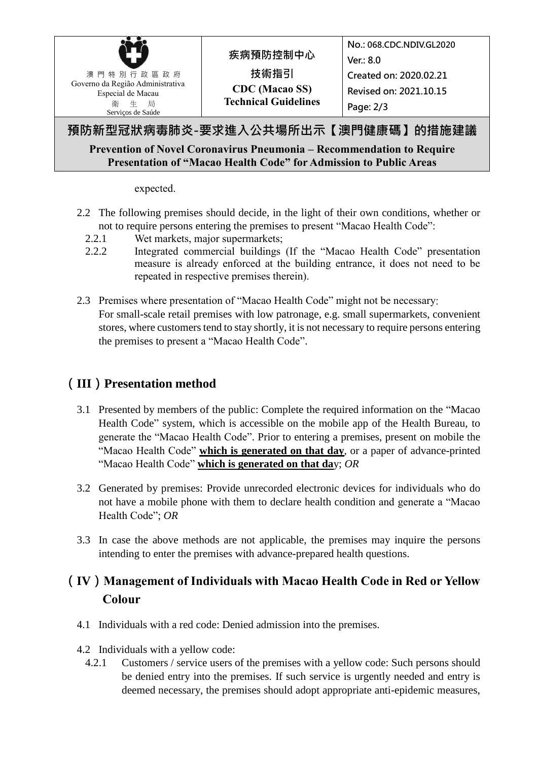| 澳門特別行政區政府<br>Governo da Região Administrativa<br>Especial de Macau<br>衛 生 局<br>Serviços de Saúde | 疾病預防控制中心<br>技術指引<br><b>CDC</b> (Macao SS)<br><b>Technical Guidelines</b> | No.: 068.CDC.NDIV.GL2020<br>Ver.: 8.0<br>Created on: 2020.02.21<br>Revised on: 2021.10.15<br>Page: 2/3 |  |
|--------------------------------------------------------------------------------------------------|--------------------------------------------------------------------------|--------------------------------------------------------------------------------------------------------|--|
| 預防新型冠狀病毒肺炎-要求進入公共場所出示【澳門健康碼】的措施建議                                                                |                                                                          |                                                                                                        |  |

#### **Prevention of Novel Coronavirus Pneumonia – Recommendation to Require Presentation of "Macao Health Code" for Admission to Public Areas**

expected.

- 2.2 The following premises should decide, in the light of their own conditions, whether or not to require persons entering the premises to present "Macao Health Code":
	- 2.2.1 Wet markets, major supermarkets;
	- 2.2.2 Integrated commercial buildings (If the "Macao Health Code" presentation measure is already enforced at the building entrance, it does not need to be repeated in respective premises therein).
- 2.3 Premises where presentation of "Macao Health Code" might not be necessary: For small-scale retail premises with low patronage, e.g. small supermarkets, convenient stores, where customers tend to stay shortly, it is not necessary to require persons entering the premises to present a "Macao Health Code".

### **(III)Presentation method**

- 3.1 Presented by members of the public: Complete the required information on the "Macao Health Code" system, which is accessible on the mobile app of the Health Bureau, to generate the "Macao Health Code". Prior to entering a premises, present on mobile the "Macao Health Code" **which is generated on that day**, or a paper of advance-printed "Macao Health Code" **which is generated on that da**y; *OR*
- 3.2 Generated by premises: Provide unrecorded electronic devices for individuals who do not have a mobile phone with them to declare health condition and generate a "Macao Health Code"; *OR*
- 3.3 In case the above methods are not applicable, the premises may inquire the persons intending to enter the premises with advance-prepared health questions.

# **(IV)Management of Individuals with Macao Health Code in Red or Yellow Colour**

- 4.1 Individuals with a red code: Denied admission into the premises.
- 4.2 Individuals with a yellow code:
	- 4.2.1 Customers / service users of the premises with a yellow code: Such persons should be denied entry into the premises. If such service is urgently needed and entry is deemed necessary, the premises should adopt appropriate anti-epidemic measures,